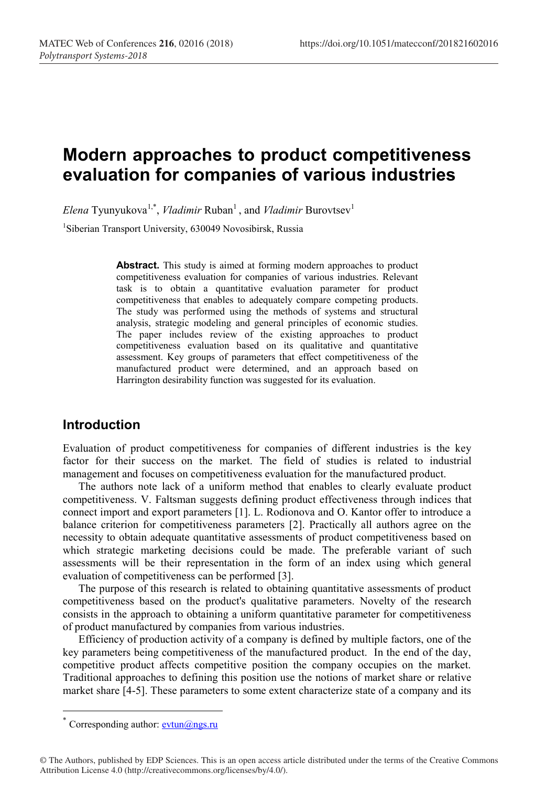# **Modern approaches to product competitiveness evaluation for companies of various industries**

 $E$ lena Tyunyukova<sup>1,\*</sup>, *Vladimir* Ruban<sup>1</sup>, and *Vladimir* Burovtsev<sup>1</sup>

1 Siberian Transport University, 630049 Novosibirsk, Russia

**Abstract.** This study is aimed at forming modern approaches to product competitiveness evaluation for companies of various industries. Relevant task is to obtain a quantitative evaluation parameter for product competitiveness that enables to adequately compare competing products. The study was performed using the methods of systems and structural analysis, strategic modeling and general principles of economic studies. The paper includes review of the existing approaches to product competitiveness evaluation based on its qualitative and quantitative assessment. Key groups of parameters that effect competitiveness of the manufactured product were determined, and an approach based on Harrington desirability function was suggested for its evaluation.

## **Introduction**

Evaluation of product competitiveness for companies of different industries is the key factor for their success on the market. The field of studies is related to industrial management and focuses on competitiveness evaluation for the manufactured product.

The authors note lack of a uniform method that enables to clearly evaluate product competitiveness. V. Faltsman suggests defining product effectiveness through indices that connect import and export parameters [1]. L. Rodionova and O. Kantor offer to introduce a balance criterion for competitiveness parameters [2]. Practically all authors agree on the necessity to obtain adequate quantitative assessments of product competitiveness based on which strategic marketing decisions could be made. The preferable variant of such assessments will be their representation in the form of an index using which general evaluation of competitiveness can be performed [3].

The purpose of this research is related to obtaining quantitative assessments of product competitiveness based on the product's qualitative parameters. Novelty of the research consists in the approach to obtaining a uniform quantitative parameter for competitiveness of product manufactured by companies from various industries.

Efficiency of production activity of a company is defined by multiple factors, one of the key parameters being competitiveness of the manufactured product. In the end of the day, competitive product affects competitive position the company occupies on the market. Traditional approaches to defining this position use the notions of market share or relative market share [4-5]. These parameters to some extent characterize state of a company and its

<sup>\*</sup> Corresponding author:  $\frac{\text{evtun}(a)}{a}$ ngs.ru

<sup>©</sup> The Authors, published by EDP Sciences. This is an open access article distributed under the terms of the Creative Commons Attribution License 4.0 (http://creativecommons.org/licenses/by/4.0/).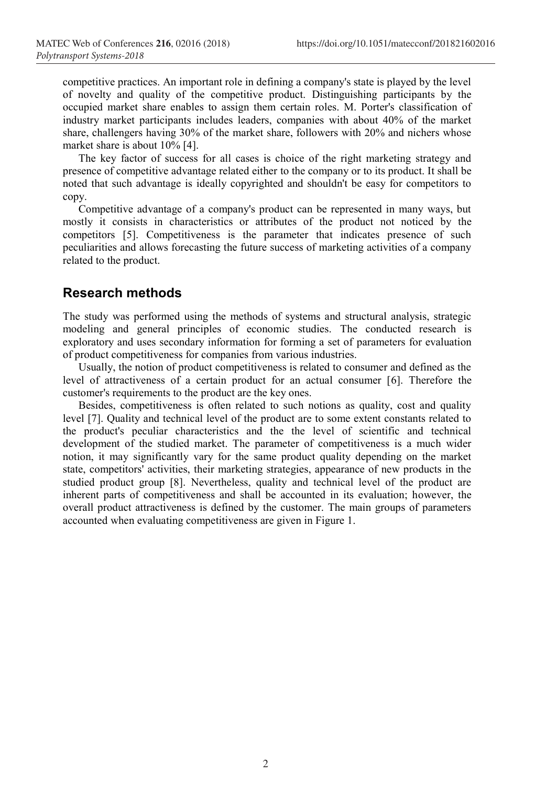competitive practices. An important role in defining a company's state is played by the level of novelty and quality of the competitive product. Distinguishing participants by the occupied market share enables to assign them certain roles. M. Porter's classification of industry market participants includes leaders, companies with about 40% of the market share, challengers having 30% of the market share, followers with 20% and nichers whose market share is about 10% [4].

The key factor of success for all cases is choice of the right marketing strategy and presence of competitive advantage related either to the company or to its product. It shall be noted that such advantage is ideally copyrighted and shouldn't be easy for competitors to copy.

Competitive advantage of a company's product can be represented in many ways, but mostly it consists in characteristics or attributes of the product not noticed by the competitors [5]. Competitiveness is the parameter that indicates presence of such peculiarities and allows forecasting the future success of marketing activities of a company related to the product.

#### **Research methods**

The study was performed using the methods of systems and structural analysis, strategic modeling and general principles of economic studies. The conducted research is exploratory and uses secondary information for forming a set of parameters for evaluation of product competitiveness for companies from various industries.

Usually, the notion of product competitiveness is related to consumer and defined as the level of attractiveness of a certain product for an actual consumer [6]. Therefore the customer's requirements to the product are the key ones.

Besides, competitiveness is often related to such notions as quality, cost and quality level [7]. Quality and technical level of the product are to some extent constants related to the product's peculiar characteristics and the the level of scientific and technical development of the studied market. The parameter of competitiveness is a much wider notion, it may significantly vary for the same product quality depending on the market state, competitors' activities, their marketing strategies, appearance of new products in the studied product group [8]. Nevertheless, quality and technical level of the product are inherent parts of competitiveness and shall be accounted in its evaluation; however, the overall product attractiveness is defined by the customer. The main groups of parameters accounted when evaluating competitiveness are given in Figure 1.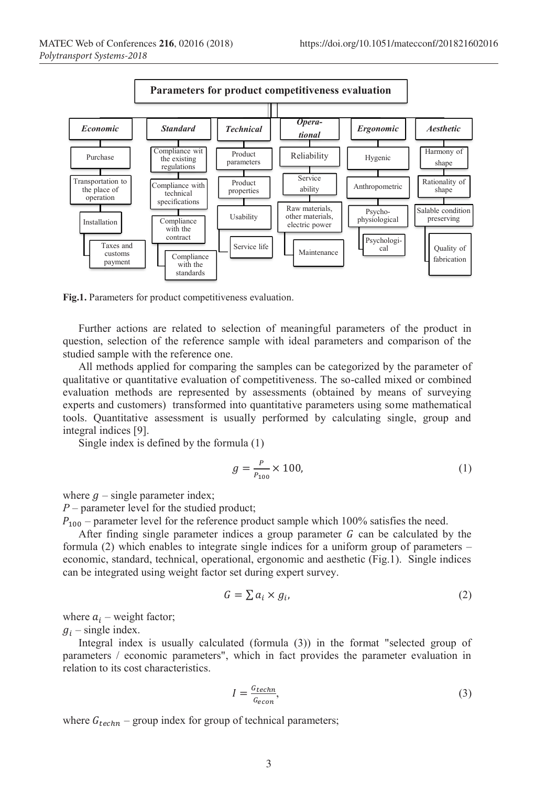

**Fig.1.** Parameters for product competitiveness evaluation.

Further actions are related to selection of meaningful parameters of the product in question, selection of the reference sample with ideal parameters and comparison of the studied sample with the reference one.

All methods applied for comparing the samples can be categorized by the parameter of qualitative or quantitative evaluation of competitiveness. The so-called mixed or combined evaluation methods are represented by assessments (obtained by means of surveying experts and customers) transformed into quantitative parameters using some mathematical tools. Quantitative assessment is usually performed by calculating single, group and integral indices [9].

Single index is defined by the formula (1)

$$
g = \frac{P}{P_{100}} \times 100,\tag{1}
$$

where  $g$  – single parameter index;

*P –* parameter level for the studied product;

 $P_{100}$  – parameter level for the reference product sample which 100% satisfies the need.

After finding single parameter indices a group parameter  $G$  can be calculated by the formula (2) which enables to integrate single indices for a uniform group of parameters – economic, standard, technical, operational, ergonomic and aesthetic (Fig.1). Single indices can be integrated using weight factor set during expert survey.

$$
G = \sum a_i \times g_i,\tag{2}
$$

where  $a_i$  – weight factor;

 $g_i$  – single index.

Integral index is usually calculated (formula (3)) in the format "selected group of parameters / economic parameters", which in fact provides the parameter evaluation in relation to its cost characteristics.

$$
I = \frac{G_{techn}}{G_{econ}},\tag{3}
$$

where  $G_{techn}$  – group index for group of technical parameters;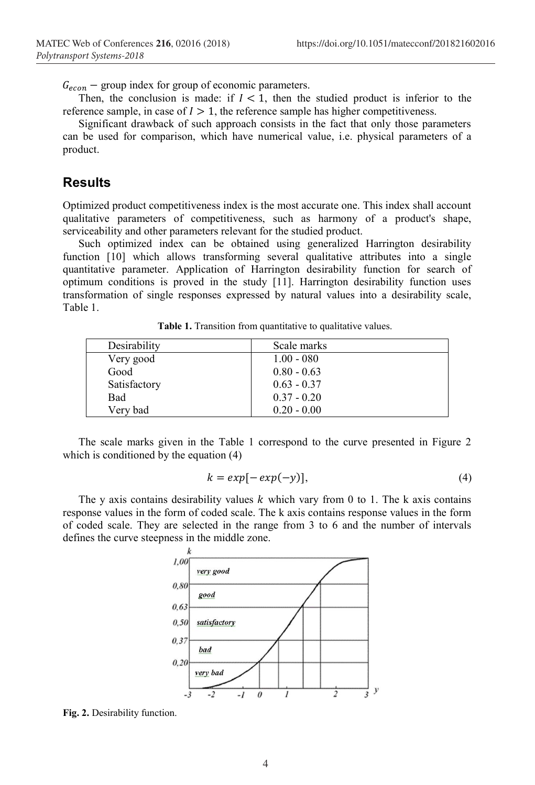$G_{econ}$  – group index for group of economic parameters.

Then, the conclusion is made: if  $I < 1$ , then the studied product is inferior to the reference sample, in case of  $I > 1$ , the reference sample has higher competitiveness.

Significant drawback of such approach consists in the fact that only those parameters can be used for comparison, which have numerical value, i.e. physical parameters of a product.

## **Results**

Optimized product competitiveness index is the most accurate one. This index shall account qualitative parameters of competitiveness, such as harmony of a product's shape, serviceability and other parameters relevant for the studied product.

Such optimized index can be obtained using generalized Harrington desirability function [10] which allows transforming several qualitative attributes into a single quantitative parameter. Application of Harrington desirability function for search of optimum conditions is proved in the study [11]. Harrington desirability function uses transformation of single responses expressed by natural values into a desirability scale, Table 1.

| Desirability | Scale marks   |
|--------------|---------------|
| Very good    | $1.00 - 080$  |
| Good         | $0.80 - 0.63$ |
| Satisfactory | $0.63 - 0.37$ |
| Bad          | $0.37 - 0.20$ |
| Very bad     | $0.20 - 0.00$ |

**Table 1.** Transition from quantitative to qualitative values.

The scale marks given in the Table 1 correspond to the curve presented in Figure 2 which is conditioned by the equation  $(4)$ 

$$
k = exp[-exp(-y)], \qquad (4)
$$

The y axis contains desirability values  $k$  which vary from 0 to 1. The k axis contains response values in the form of coded scale. The k axis contains response values in the form of coded scale. They are selected in the range from 3 to 6 and the number of intervals defines the curve steepness in the middle zone.



**Fig. 2.** Desirability function.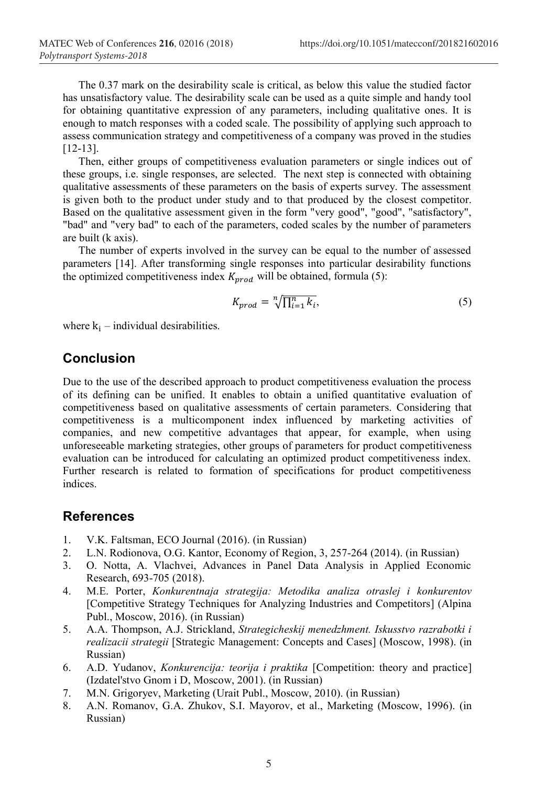The 0.37 mark on the desirability scale is critical, as below this value the studied factor has unsatisfactory value. The desirability scale can be used as a quite simple and handy tool for obtaining quantitative expression of any parameters, including qualitative ones. It is enough to match responses with a coded scale. The possibility of applying such approach to assess communication strategy and competitiveness of a company was proved in the studies [12-13].

Then, either groups of competitiveness evaluation parameters or single indices out of these groups, i.e. single responses, are selected. The next step is connected with obtaining qualitative assessments of these parameters on the basis of experts survey. The assessment is given both to the product under study and to that produced by the closest competitor. Based on the qualitative assessment given in the form "very good", "good", "satisfactory", "bad" and "very bad" to each of the parameters, coded scales by the number of parameters are built (k axis).

The number of experts involved in the survey can be equal to the number of assessed parameters [14]. After transforming single responses into particular desirability functions the optimized competitiveness index  $K_{n\text{rod}}$  will be obtained, formula (5):

$$
K_{prod} = \sqrt[n]{\prod_{i=1}^{n} k_i},\tag{5}
$$

where  $k_i$  – individual desirabilities.

#### **Conclusion**

Due to the use of the described approach to product competitiveness evaluation the process of its defining can be unified. It enables to obtain a unified quantitative evaluation of competitiveness based on qualitative assessments of certain parameters. Considering that competitiveness is a multicomponent index influenced by marketing activities of companies, and new competitive advantages that appear, for example, when using unforeseeable marketing strategies, other groups of parameters for product competitiveness evaluation can be introduced for calculating an optimized product competitiveness index. Further research is related to formation of specifications for product competitiveness indices.

#### **References**

- 1. V.K. Faltsman, ECO Journal (2016). (in Russian)
- 2. L.N. Rodionova, O.G. Kantor, Economy of Region, 3, 257-264 (2014). (in Russian)
- 3. O. Notta, A. Vlachvei, Advances in Panel Data Analysis in Applied Economic Research, 693-705 (2018).
- 4. M.E. Porter, *Konkurentnaja strategija: Metodika analiza otraslej i konkurentov* [Competitive Strategy Techniques for Analyzing Industries and Competitors] (Alpina Publ., Moscow, 2016). (in Russian)
- 5. A.A. Thompson, A.J. Strickland, *Strategicheskij menedzhment. Iskusstvo razrabotki i realizacii strategii* [Strategic Management: Concepts and Cases] (Moscow, 1998). (in Russian)
- 6. A.D. Yudanov, *Konkurencija: teorija i praktika* [Competition: theory and practice] (Izdatel'stvo Gnom i D, Moscow, 2001). (in Russian)
- 7. M.N. Grigoryev, Marketing (Urait Publ., Moscow, 2010). (in Russian)
- 8. A.N. Romanov, G.A. Zhukov, S.I. Mayorov, et al., Marketing (Moscow, 1996). (in Russian)